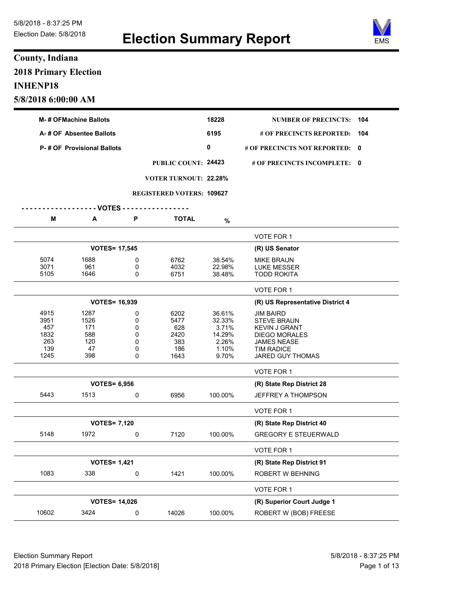

## **County, Indiana 2018 Primary Election INHENP18 5/8/2018 6:00:00 AM**

| <b>M-# OFMachine Ballots</b> |                                   |        |                                  | 18228            | <b>NUMBER OF PRECINCTS:</b>                | 104 |
|------------------------------|-----------------------------------|--------|----------------------------------|------------------|--------------------------------------------|-----|
|                              | A-# OF Absentee Ballots           |        |                                  | 6195             | # OF PRECINCTS REPORTED:                   | 104 |
|                              | <b>P-# OF Provisional Ballots</b> |        |                                  | 0                | # OF PRECINCTS NOT REPORTED: 0             |     |
|                              |                                   |        | PUBLIC COUNT: 24423              |                  | # OF PRECINCTS INCOMPLETE: 0               |     |
|                              |                                   |        | <b>VOTER TURNOUT: 22.28%</b>     |                  |                                            |     |
|                              |                                   |        |                                  |                  |                                            |     |
|                              |                                   |        | <b>REGISTERED VOTERS: 109627</b> |                  |                                            |     |
|                              | $--$ VOTES - - - -                |        |                                  |                  |                                            |     |
| Μ                            | А                                 | P      | <b>TOTAL</b>                     | $\%$             |                                            |     |
|                              |                                   |        |                                  |                  | VOTE FOR 1                                 |     |
|                              | <b>VOTES= 17,545</b>              |        |                                  |                  | (R) US Senator                             |     |
| 5074                         | 1688                              | 0      | 6762                             | 38.54%           | <b>MIKE BRAUN</b>                          |     |
| 3071<br>5105                 | 961<br>1646                       | 0<br>0 | 4032<br>6751                     | 22.98%<br>38.48% | LUKE MESSER<br><b>TODD ROKITA</b>          |     |
|                              |                                   |        |                                  |                  |                                            |     |
|                              |                                   |        |                                  |                  | <b>VOTE FOR 1</b>                          |     |
|                              | <b>VOTES= 16,939</b>              |        |                                  |                  | (R) US Representative District 4           |     |
| 4915                         | 1287                              | 0      | 6202                             | 36.61%           | <b>JIM BAIRD</b>                           |     |
| 3951                         | 1526                              | 0      | 5477                             | 32.33%           | <b>STEVE BRAUN</b>                         |     |
| 457<br>1832                  | 171<br>588                        | 0<br>0 | 628<br>2420                      | 3.71%<br>14.29%  | <b>KEVIN J GRANT</b>                       |     |
| 263                          | 120                               | 0      | 383                              | 2.26%            | <b>DIEGO MORALES</b><br><b>JAMES NEASE</b> |     |
| 139                          | 47                                | 0      | 186                              | 1.10%            | <b>TIM RADICE</b>                          |     |
| 1245                         | 398                               | 0      | 1643                             | 9.70%            | <b>JARED GUY THOMAS</b>                    |     |
|                              |                                   |        |                                  |                  | <b>VOTE FOR 1</b>                          |     |
|                              | <b>VOTES= 6,956</b>               |        |                                  |                  | (R) State Rep District 28                  |     |
| 5443                         | 1513                              | 0      | 6956                             | 100.00%          | <b>JEFFREY A THOMPSON</b>                  |     |
|                              |                                   |        |                                  |                  | VOTE FOR 1                                 |     |
|                              | <b>VOTES= 7,120</b>               |        |                                  |                  | (R) State Rep District 40                  |     |
| 5148                         | 1972                              | 0      | 7120                             | 100.00%          | <b>GREGORY E STEUERWALD</b>                |     |
|                              |                                   |        |                                  |                  | VOTE FOR 1                                 |     |
|                              | <b>VOTES= 1,421</b>               |        |                                  |                  | (R) State Rep District 91                  |     |
| 1083                         | 338                               | 0      | 1421                             | 100.00%          | ROBERT W BEHNING                           |     |
|                              |                                   |        |                                  |                  | VOTE FOR 1                                 |     |
|                              | <b>VOTES= 14,026</b>              |        |                                  |                  | (R) Superior Court Judge 1                 |     |
| 10602                        | 3424                              | 0      | 14026                            | 100.00%          | ROBERT W (BOB) FREESE                      |     |
|                              |                                   |        |                                  |                  |                                            |     |

Election Summary Report 61 November 2018 - 8:37:25 PM 2018 Primary Election [Election Date: 5/8/2018] **Page 1 of 13** Page 1 of 13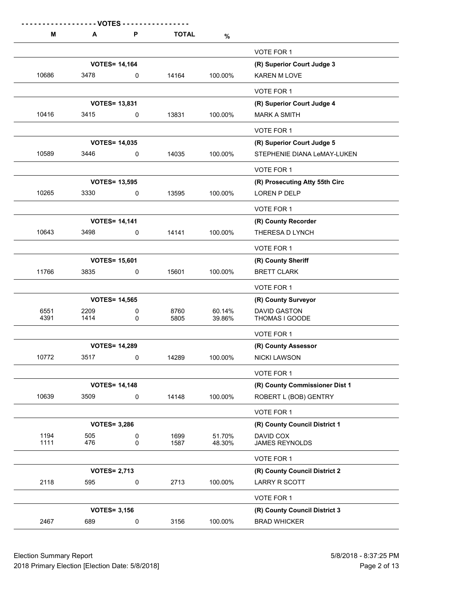| M            | - VOTES<br>Α               | P      | <b>TOTAL</b> | $\%$             |                                       |
|--------------|----------------------------|--------|--------------|------------------|---------------------------------------|
|              |                            |        |              |                  | VOTE FOR 1                            |
|              | <b>VOTES= 14,164</b>       |        |              |                  | (R) Superior Court Judge 3            |
| 10686        | 3478                       | 0      | 14164        | 100.00%          | <b>KAREN M LOVE</b>                   |
|              |                            |        |              |                  | VOTE FOR 1                            |
|              | <b>VOTES= 13,831</b>       |        |              |                  | (R) Superior Court Judge 4            |
| 10416        | 3415                       | 0      | 13831        | 100.00%          | <b>MARK A SMITH</b>                   |
|              |                            |        |              |                  | VOTE FOR 1                            |
|              | <b>VOTES= 14,035</b>       |        |              |                  | (R) Superior Court Judge 5            |
| 10589        | 3446                       | 0      | 14035        | 100.00%          | STEPHENIE DIANA LeMAY-LUKEN           |
|              |                            |        |              |                  | VOTE FOR 1                            |
|              | <b>VOTES= 13,595</b>       |        |              |                  | (R) Prosecuting Atty 55th Circ        |
| 10265        | 3330                       | 0      | 13595        | 100.00%          | LOREN P DELP                          |
|              |                            |        |              |                  | VOTE FOR 1                            |
|              | <b>VOTES= 14,141</b>       |        |              |                  | (R) County Recorder                   |
| 10643        | 3498                       | 0      | 14141        | 100.00%          | THERESA D LYNCH                       |
|              |                            |        |              |                  | VOTE FOR 1                            |
|              | <b>VOTES= 15,601</b>       |        |              |                  | (R) County Sheriff                    |
| 11766        | 3835                       | 0      | 15601        | 100.00%          | <b>BRETT CLARK</b>                    |
|              |                            |        |              |                  | VOTE FOR 1                            |
|              | <b>VOTES= 14,565</b>       |        |              |                  | (R) County Surveyor                   |
| 6551<br>4391 | 2209<br>1414               | 0<br>0 | 8760<br>5805 | 60.14%<br>39.86% | <b>DAVID GASTON</b><br>THOMAS I GOODE |
|              |                            |        |              |                  | VOTE FOR 1                            |
|              | <b>VOTES= 14,289</b>       |        |              |                  | (R) County Assessor                   |
| 10772        | 3517                       | 0      | 14289        | 100.00%          | <b>NICKI LAWSON</b>                   |
|              |                            |        |              |                  | VOTE FOR 1                            |
|              | <b>VOTES= 14,148</b>       |        |              |                  | (R) County Commissioner Dist 1        |
| 10639        | 3509                       | 0      | 14148        | 100.00%          | ROBERT L (BOB) GENTRY                 |
|              |                            |        |              |                  | VOTE FOR 1                            |
|              | <b>VOTES= 3,286</b>        |        |              |                  | (R) County Council District 1         |
| 1194<br>1111 | 505<br>476                 | 0<br>0 | 1699<br>1587 | 51.70%<br>48.30% | DAVID COX<br><b>JAMES REYNOLDS</b>    |
|              |                            |        |              |                  |                                       |
|              |                            |        |              |                  | VOTE FOR 1                            |
| 2118         | <b>VOTES= 2,713</b><br>595 | 0      | 2713         | 100.00%          | (R) County Council District 2         |
|              |                            |        |              |                  | LARRY R SCOTT                         |
|              |                            |        |              |                  | VOTE FOR 1                            |
|              | <b>VOTES= 3,156</b>        |        |              |                  | (R) County Council District 3         |
| 2467         | 689                        | 0      | 3156         | 100.00%          | <b>BRAD WHICKER</b>                   |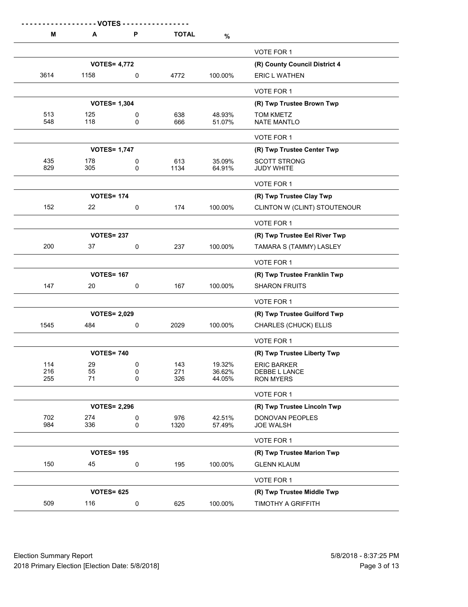| М          | - VOTES -<br>A      | P      | <b>TOTAL</b> | $\%$             |                                        |
|------------|---------------------|--------|--------------|------------------|----------------------------------------|
|            |                     |        |              |                  | <b>VOTE FOR 1</b>                      |
|            | <b>VOTES= 4,772</b> |        |              |                  | (R) County Council District 4          |
| 3614       | 1158                | 0      | 4772         | 100.00%          | <b>ERIC L WATHEN</b>                   |
|            |                     |        |              |                  | VOTE FOR 1                             |
|            | <b>VOTES= 1,304</b> |        |              |                  | (R) Twp Trustee Brown Twp              |
| 513<br>548 | 125<br>118          | 0<br>0 | 638<br>666   | 48.93%<br>51.07% | <b>TOM KMETZ</b><br><b>NATE MANTLO</b> |
|            |                     |        |              |                  | VOTE FOR 1                             |
|            | <b>VOTES= 1,747</b> |        |              |                  | (R) Twp Trustee Center Twp             |
| 435        | 178                 | 0      | 613          | 35.09%           | <b>SCOTT STRONG</b>                    |
| 829        | 305                 | 0      | 1134         | 64.91%           | <b>JUDY WHITE</b>                      |
|            |                     |        |              |                  | VOTE FOR 1                             |
|            | <b>VOTES= 174</b>   |        |              |                  | (R) Twp Trustee Clay Twp               |
| 152        | 22                  | 0      | 174          | 100.00%          | CLINTON W (CLINT) STOUTENOUR           |
|            |                     |        |              |                  | VOTE FOR 1                             |
|            | <b>VOTES= 237</b>   |        |              |                  | (R) Twp Trustee Eel River Twp          |
| 200        | 37                  | 0      | 237          | 100.00%          | TAMARA S (TAMMY) LASLEY                |
|            |                     |        |              |                  | VOTE FOR 1                             |
|            | <b>VOTES= 167</b>   |        |              |                  | (R) Twp Trustee Franklin Twp           |
| 147        | 20                  | 0      | 167          | 100.00%          | <b>SHARON FRUITS</b>                   |
|            |                     |        |              |                  | VOTE FOR 1                             |
|            | <b>VOTES= 2,029</b> |        |              |                  | (R) Twp Trustee Guilford Twp           |
| 1545       | 484                 | 0      | 2029         | 100.00%          | CHARLES (CHUCK) ELLIS                  |
|            |                     |        |              |                  | VOTE FOR 1                             |
|            | <b>VOTES= 740</b>   |        |              |                  | (R) Twp Trustee Liberty Twp            |
| 114        | 29                  | 0      | 143          | 19.32%           | <b>ERIC BARKER</b>                     |
| 216<br>255 | 55<br>71            | 0<br>0 | 271<br>326   | 36.62%<br>44.05% | DEBBE L LANCE<br><b>RON MYERS</b>      |
|            |                     |        |              |                  | VOTE FOR 1                             |
|            | <b>VOTES= 2,296</b> |        |              |                  | (R) Twp Trustee Lincoln Twp            |
| 702        | 274                 | 0      | 976          | 42.51%           | DONOVAN PEOPLES                        |
| 984        | 336                 | 0      | 1320         | 57.49%           | <b>JOE WALSH</b>                       |
|            |                     |        |              |                  | VOTE FOR 1                             |
|            | <b>VOTES= 195</b>   |        |              |                  | (R) Twp Trustee Marion Twp             |
| 150        | 45                  | 0      | 195          | 100.00%          | <b>GLENN KLAUM</b>                     |
|            |                     |        |              |                  | VOTE FOR 1                             |
|            | <b>VOTES= 625</b>   |        |              |                  | (R) Twp Trustee Middle Twp             |
| 509        | 116                 | 0      | 625          | 100.00%          | TIMOTHY A GRIFFITH                     |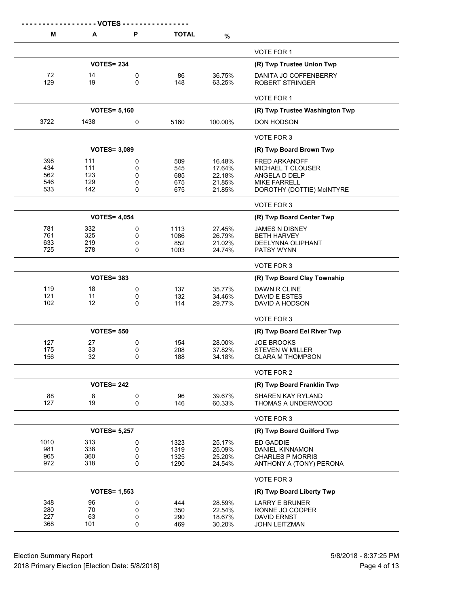|           | - - - - - - VOTES - |        |              |                  |                                                 |
|-----------|---------------------|--------|--------------|------------------|-------------------------------------------------|
| Μ         | Α                   | P      | <b>TOTAL</b> | $\%$             |                                                 |
|           |                     |        |              |                  | VOTE FOR 1                                      |
|           | <b>VOTES= 234</b>   |        |              |                  | (R) Twp Trustee Union Twp                       |
| 72<br>129 | 14<br>19            | 0<br>0 | 86<br>148    | 36.75%<br>63.25% | DANITA JO COFFENBERRY<br><b>ROBERT STRINGER</b> |
|           |                     |        |              |                  | VOTE FOR 1                                      |
|           | <b>VOTES= 5,160</b> |        |              |                  | (R) Twp Trustee Washington Twp                  |
| 3722      | 1438                | 0      | 5160         | 100.00%          | DON HODSON                                      |
|           |                     |        |              |                  | VOTE FOR 3                                      |
|           | <b>VOTES= 3,089</b> |        |              |                  | (R) Twp Board Brown Twp                         |
| 398       | 111                 | 0      | 509          | 16.48%           | <b>FRED ARKANOFF</b>                            |
| 434       | 111                 | 0      | 545          | 17.64%           | MICHAEL T CLOUSER                               |
| 562       | 123                 | 0      | 685          | 22.18%           | ANGELA D DELP                                   |
| 546       | 129                 | 0      | 675          | 21.85%           | <b>MIKE FARRELL</b>                             |
| 533       | 142                 | 0      | 675          | 21.85%           | DOROTHY (DOTTIE) McINTYRE                       |
|           |                     |        |              |                  | VOTE FOR 3                                      |
|           | <b>VOTES= 4,054</b> |        |              |                  | (R) Twp Board Center Twp                        |
| 781       | 332                 | 0      | 1113         | 27.45%           | <b>JAMES N DISNEY</b>                           |
| 761       | 325                 | 0      | 1086         | 26.79%           | <b>BETH HARVEY</b>                              |
| 633       | 219                 | 0      | 852          | 21.02%           | DEELYNNA OLIPHANT                               |
| 725       | 278                 | 0      | 1003         | 24.74%           | <b>PATSY WYNN</b>                               |
|           |                     |        |              |                  | VOTE FOR 3                                      |
|           | <b>VOTES= 383</b>   |        |              |                  | (R) Twp Board Clay Township                     |
| 119       | 18                  | 0      | 137          | 35.77%           | DAWN R CLINE                                    |
| 121       | 11                  | 0      | 132          | 34.46%           | DAVID E ESTES                                   |
| 102       | 12                  | 0      | 114          | 29.77%           | DAVID A HODSON                                  |
|           |                     |        |              |                  | VOTE FOR 3                                      |
|           | <b>VOTES= 550</b>   |        |              |                  | (R) Twp Board Eel River Twp                     |
| 127       | 27                  | 0      | 154          | 28.00%           | <b>JOE BROOKS</b>                               |
| 175       | 33                  | 0      | 208          | 37.82%           | STEVEN W MILLER                                 |
| 156       | 32                  | 0      | 188          | 34.18%           | <b>CLARA M THOMPSON</b>                         |
|           |                     |        |              |                  | VOTE FOR 2                                      |
|           | <b>VOTES= 242</b>   |        |              |                  | (R) Twp Board Franklin Twp                      |
| 88        | 8                   | 0      | 96           | 39.67%           | <b>SHAREN KAY RYLAND</b>                        |
| 127       | 19                  | 0      | 146          | 60.33%           | THOMAS A UNDERWOOD                              |
|           |                     |        |              |                  | VOTE FOR 3                                      |
|           | <b>VOTES= 5,257</b> |        |              |                  | (R) Twp Board Guilford Twp                      |
| 1010      | 313                 | 0      | 1323         | 25.17%           | ED GADDIE                                       |
| 981       | 338                 | 0      | 1319         | 25.09%           | <b>DANIEL KINNAMON</b>                          |
| 965       | 360                 | 0      | 1325         | 25.20%           | <b>CHARLES P MORRIS</b>                         |
| 972       | 318                 | 0      | 1290         | 24.54%           | ANTHONY A (TONY) PERONA                         |
|           |                     |        |              |                  | VOTE FOR 3                                      |
|           | <b>VOTES= 1,553</b> |        |              |                  | (R) Twp Board Liberty Twp                       |
| 348       | 96                  | 0      | 444          | 28.59%           | <b>LARRY E BRUNER</b>                           |
| 280       | 70                  | 0      | 350          | 22.54%           | RONNE JO COOPER                                 |
| 227       | 63                  | 0      | 290          | 18.67%           | <b>DAVID ERNST</b>                              |
| 368       | 101                 | 0      | 469          | 30.20%           | JOHN LEITZMAN                                   |
|           |                     |        |              |                  |                                                 |

Election Summary Report 6.6 and 5/8/2018 - 8:37:25 PM 2018 Primary Election [Election Date: 5/8/2018] **Page 4 of 13** Page 4 of 13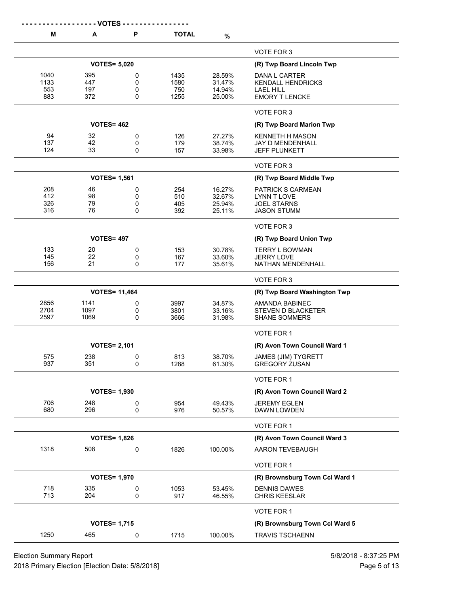|              | - VOTES -            |        |              |                  |                                             |
|--------------|----------------------|--------|--------------|------------------|---------------------------------------------|
| M            | A                    | P      | <b>TOTAL</b> | $\%$             |                                             |
|              |                      |        |              |                  | VOTE FOR 3                                  |
|              | <b>VOTES= 5,020</b>  |        |              |                  | (R) Twp Board Lincoln Twp                   |
| 1040         | 395                  | 0      | 1435         | 28.59%           | DANA L CARTER                               |
| 1133         | 447                  | 0      | 1580         | 31.47%           | <b>KENDALL HENDRICKS</b>                    |
| 553<br>883   | 197<br>372           | 0      | 750          | 14.94%           | LAEL HILL                                   |
|              |                      | 0      | 1255         | 25.00%           | <b>EMORY T LENCKE</b>                       |
|              |                      |        |              |                  | VOTE FOR 3                                  |
|              | <b>VOTES= 462</b>    |        |              |                  | (R) Twp Board Marion Twp                    |
| 94           | 32                   | 0      | 126          | 27.27%           | <b>KENNETH H MASON</b>                      |
| 137          | 42                   | 0      | 179          | 38.74%           | JAY D MENDENHALL                            |
| 124          | 33                   | 0      | 157          | 33.98%           | JEFF PLUNKETT                               |
|              |                      |        |              |                  | VOTE FOR 3                                  |
|              | <b>VOTES= 1,561</b>  |        |              |                  | (R) Twp Board Middle Twp                    |
| 208          | 46                   | 0      | 254          | 16.27%           | <b>PATRICK S CARMEAN</b>                    |
| 412          | 98                   | 0      | 510          | 32.67%           | <b>LYNN T LOVE</b>                          |
| 326<br>316   | 79<br>76             | 0<br>0 | 405<br>392   | 25.94%<br>25.11% | <b>JOEL STARNS</b><br><b>JASON STUMM</b>    |
|              |                      |        |              |                  |                                             |
|              |                      |        |              |                  | VOTE FOR 3                                  |
|              | <b>VOTES= 497</b>    |        |              |                  | (R) Twp Board Union Twp                     |
| 133          | 20                   | 0      | 153          | 30.78%           | <b>TERRY L BOWMAN</b>                       |
| 145<br>156   | 22<br>21             | 0<br>0 | 167<br>177   | 33.60%<br>35.61% | <b>JERRY LOVE</b><br>NATHAN MENDENHALL      |
|              |                      |        |              |                  |                                             |
|              |                      |        |              |                  | VOTE FOR 3                                  |
|              | <b>VOTES= 11,464</b> |        |              |                  | (R) Twp Board Washington Twp                |
| 2856         | 1141                 | 0      | 3997         | 34.87%           | AMANDA BABINEC                              |
| 2704<br>2597 | 1097<br>1069         | 0<br>0 | 3801<br>3666 | 33.16%<br>31.98% | STEVEN D BLACKETER<br><b>SHANE SOMMERS</b>  |
|              |                      |        |              |                  |                                             |
|              |                      |        |              |                  | VOTE FOR 1                                  |
|              | <b>VOTES= 2,101</b>  |        |              |                  | (R) Avon Town Council Ward 1                |
| 575          | 238                  | 0      | 813          | 38.70%           | JAMES (JIM) TYGRETT                         |
| 937          | 351                  | 0      | 1288         | 61.30%           | <b>GREGORY ZUSAN</b>                        |
|              |                      |        |              |                  | VOTE FOR 1                                  |
|              | <b>VOTES= 1,930</b>  |        |              |                  | (R) Avon Town Council Ward 2                |
| 706          | 248                  | 0      | 954          | 49.43%           | <b>JEREMY EGLEN</b>                         |
| 680          | 296                  | 0      | 976          | 50.57%           | DAWN LOWDEN                                 |
|              |                      |        |              |                  | VOTE FOR 1                                  |
|              | <b>VOTES= 1,826</b>  |        |              |                  | (R) Avon Town Council Ward 3                |
| 1318         | 508                  | 0      | 1826         | 100.00%          | AARON TEVEBAUGH                             |
|              |                      |        |              |                  | VOTE FOR 1                                  |
|              | <b>VOTES= 1,970</b>  |        |              |                  | (R) Brownsburg Town Ccl Ward 1              |
|              |                      |        |              |                  |                                             |
| 718<br>713   | 335<br>204           | 0<br>0 | 1053<br>917  | 53.45%<br>46.55% | <b>DENNIS DAWES</b><br><b>CHRIS KEESLAR</b> |
|              |                      |        |              |                  | VOTE FOR 1                                  |
|              | <b>VOTES= 1,715</b>  |        |              |                  | (R) Brownsburg Town Ccl Ward 5              |
|              |                      |        |              |                  |                                             |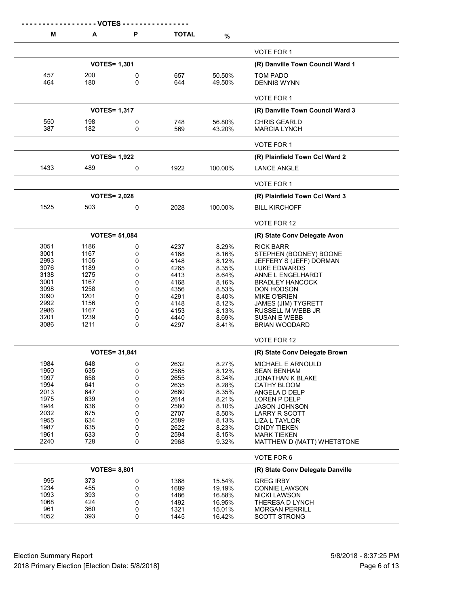|              | - - VOTES -          |             |              |                  |                                              |
|--------------|----------------------|-------------|--------------|------------------|----------------------------------------------|
| М            | A                    | P           | <b>TOTAL</b> | %                |                                              |
|              |                      |             |              |                  | <b>VOTE FOR 1</b>                            |
|              | <b>VOTES= 1,301</b>  |             |              |                  | (R) Danville Town Council Ward 1             |
| 457          | 200                  | 0           | 657          | 50.50%           | TOM PADO                                     |
| 464          | 180                  | 0           | 644          | 49.50%           | <b>DENNIS WYNN</b>                           |
|              |                      |             |              |                  | VOTE FOR 1                                   |
|              | <b>VOTES= 1,317</b>  |             |              |                  | (R) Danville Town Council Ward 3             |
| 550          | 198                  | 0           | 748          | 56.80%           | <b>CHRIS GEARLD</b>                          |
| 387          | 182                  | 0           | 569          | 43.20%           | <b>MARCIA LYNCH</b>                          |
|              |                      |             |              |                  | <b>VOTE FOR 1</b>                            |
|              | <b>VOTES= 1,922</b>  |             |              |                  | (R) Plainfield Town Ccl Ward 2               |
| 1433         | 489                  | 0           | 1922         | 100.00%          | <b>LANCE ANGLE</b>                           |
|              |                      |             |              |                  | <b>VOTE FOR 1</b>                            |
|              | <b>VOTES= 2,028</b>  |             |              |                  | (R) Plainfield Town Ccl Ward 3               |
| 1525         | 503                  | 0           | 2028         | 100.00%          | <b>BILL KIRCHOFF</b>                         |
|              |                      |             |              |                  | VOTE FOR 12                                  |
|              | <b>VOTES= 51,084</b> |             |              |                  | (R) State Conv Delegate Avon                 |
| 3051         | 1186                 | 0           | 4237         | 8.29%            | RICK BARR                                    |
| 3001         | 1167                 | 0           | 4168         | 8.16%            | STEPHEN (BOONEY) BOONE                       |
| 2993         | 1155                 | 0           | 4148         | 8.12%            | JEFFERY S (JEFF) DORMAN                      |
| 3076<br>3138 | 1189<br>1275         | 0<br>0      | 4265<br>4413 | 8.35%<br>8.64%   | LUKE EDWARDS<br>ANNE L ENGELHARDT            |
| 3001         | 1167                 | 0           | 4168         | 8.16%            | <b>BRADLEY HANCOCK</b>                       |
| 3098         | 1258                 | 0           | 4356         | 8.53%            | DON HODSON                                   |
| 3090         | 1201                 | 0           | 4291         | 8.40%            | <b>MIKE O'BRIEN</b>                          |
| 2992         | 1156                 | 0           | 4148         | 8.12%            | <b>JAMES (JIM) TYGRETT</b>                   |
| 2986         | 1167                 | 0           | 4153         | 8.13%            | RUSSELL M WEBB JR                            |
| 3201         | 1239                 | 0           | 4440         | 8.69%            | <b>SUSAN E WEBB</b>                          |
| 3086         | 1211                 | 0           | 4297         | 8.41%            | <b>BRIAN WOODARD</b>                         |
|              |                      |             |              |                  | VOTE FOR 12                                  |
|              | <b>VOTES= 31,841</b> |             |              |                  | (R) State Conv Delegate Brown                |
| 1984         | 648                  | $\mathbf 0$ | 2632         | 8.27%            | MICHAEL E ARNOULD                            |
| 1950         | 635                  | 0           | 2585         | 8.12%            | <b>SEAN BENHAM</b>                           |
| 1997<br>1994 | 658<br>641           | 0<br>0      | 2655<br>2635 | 8.34%<br>8.28%   | JONATHAN K BLAKE                             |
| 2013         | 647                  | 0           | 2660         | 8.35%            | CATHY BLOOM<br>ANGELA D DELP                 |
| 1975         | 639                  | 0           | 2614         | 8.21%            | LOREN P DELP                                 |
| 1944         | 636                  | 0           | 2580         | 8.10%            | <b>JASON JOHNSON</b>                         |
| 2032         | 675                  | 0           | 2707         | 8.50%            | LARRY R SCOTT                                |
| 1955         | 634                  | 0           | 2589         | 8.13%            | LIZA L TAYLOR                                |
| 1987         | 635                  | 0           | 2622         | 8.23%            | <b>CINDY TIEKEN</b>                          |
| 1961<br>2240 | 633<br>728           | 0<br>0      | 2594<br>2968 | 8.15%<br>9.32%   | MARK TIEKEN<br>MATTHEW D (MATT) WHETSTONE    |
|              |                      |             |              |                  | VOTE FOR 6                                   |
|              | <b>VOTES= 8,801</b>  |             |              |                  | (R) State Conv Delegate Danville             |
| 995          | 373                  | 0           | 1368         | 15.54%           | <b>GREG IRBY</b>                             |
| 1234         | 455                  | 0           | 1689         | 19.19%           | <b>CONNIE LAWSON</b>                         |
| 1093         | 393                  | 0           | 1486         | 16.88%           | <b>NICKI LAWSON</b>                          |
| 1068         | 424                  | 0           | 1492         | 16.95%           | THERESA D LYNCH                              |
| 961<br>1052  | 360<br>393           | 0<br>0      | 1321<br>1445 | 15.01%<br>16.42% | <b>MORGAN PERRILL</b><br><b>SCOTT STRONG</b> |
|              |                      |             |              |                  |                                              |

Election Summary Report 5/8/2018 - 8:37:25 PM<br>2018 Primary Election [Election Date: 5/8/2018]<br>Page 6 of 13 2018 Primary Election [Election Date: 5/8/2018]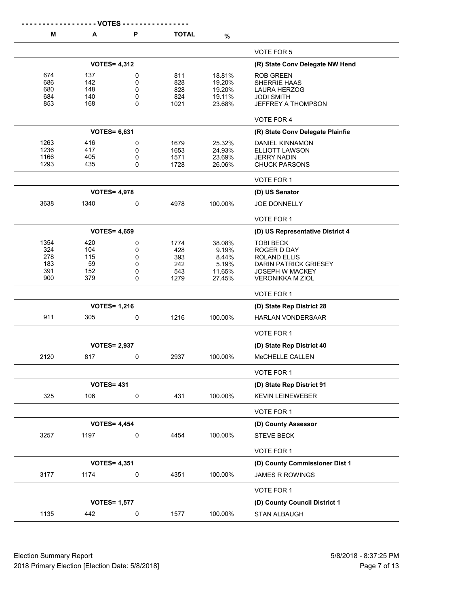|                                         | - VOTES -                             |                            |                                          |                                                       |                                                                                                                               |
|-----------------------------------------|---------------------------------------|----------------------------|------------------------------------------|-------------------------------------------------------|-------------------------------------------------------------------------------------------------------------------------------|
| M                                       | A                                     | P                          | <b>TOTAL</b>                             | $\%$                                                  |                                                                                                                               |
|                                         |                                       |                            |                                          |                                                       | VOTE FOR 5                                                                                                                    |
|                                         | <b>VOTES= 4,312</b>                   |                            |                                          |                                                       | (R) State Conv Delegate NW Hend                                                                                               |
| 674<br>686<br>680<br>684                | 137<br>142<br>148<br>140              | 0<br>0<br>0<br>0           | 811<br>828<br>828<br>824                 | 18.81%<br>19.20%<br>19.20%<br>19.11%                  | <b>ROB GREEN</b><br><b>SHERRIE HAAS</b><br><b>LAURA HERZOG</b><br><b>JODI SMITH</b>                                           |
| 853                                     | 168                                   | 0                          | 1021                                     | 23.68%                                                | <b>JEFFREY A THOMPSON</b>                                                                                                     |
|                                         |                                       |                            |                                          |                                                       | <b>VOTE FOR 4</b>                                                                                                             |
|                                         | <b>VOTES= 6,631</b>                   |                            |                                          |                                                       | (R) State Conv Delegate Plainfie                                                                                              |
| 1263<br>1236<br>1166<br>1293            | 416<br>417<br>405<br>435              | 0<br>0<br>0<br>0           | 1679<br>1653<br>1571<br>1728             | 25.32%<br>24.93%<br>23.69%<br>26.06%                  | DANIEL KINNAMON<br>ELLIOTT LAWSON<br><b>JERRY NADIN</b><br><b>CHUCK PARSONS</b>                                               |
|                                         |                                       |                            |                                          |                                                       | VOTE FOR 1                                                                                                                    |
|                                         | <b>VOTES= 4,978</b>                   |                            |                                          |                                                       | (D) US Senator                                                                                                                |
| 3638                                    | 1340                                  | 0                          | 4978                                     | 100.00%                                               | <b>JOE DONNELLY</b>                                                                                                           |
|                                         |                                       |                            |                                          |                                                       | VOTE FOR 1                                                                                                                    |
|                                         | <b>VOTES= 4,659</b>                   |                            |                                          |                                                       | (D) US Representative District 4                                                                                              |
| 1354<br>324<br>278<br>183<br>391<br>900 | 420<br>104<br>115<br>59<br>152<br>379 | 0<br>0<br>0<br>0<br>0<br>0 | 1774<br>428<br>393<br>242<br>543<br>1279 | 38.08%<br>9.19%<br>8.44%<br>5.19%<br>11.65%<br>27.45% | <b>TOBI BECK</b><br>ROGER D DAY<br>ROLAND ELLIS<br>DARIN PATRICK GRIESEY<br><b>JOSEPH W MACKEY</b><br><b>VERONIKKA M ZIOL</b> |
|                                         |                                       |                            |                                          |                                                       | VOTE FOR 1                                                                                                                    |
|                                         | <b>VOTES= 1,216</b>                   |                            |                                          |                                                       | (D) State Rep District 28                                                                                                     |
| 911                                     | 305                                   | 0                          | 1216                                     | 100.00%                                               | <b>HARLAN VONDERSAAR</b>                                                                                                      |
|                                         |                                       |                            |                                          |                                                       | VOTE FOR 1                                                                                                                    |
|                                         | <b>VOTES= 2,937</b>                   |                            |                                          |                                                       | (D) State Rep District 40                                                                                                     |
| 2120                                    | 817                                   | 0                          | 2937                                     | 100.00%                                               | MeCHELLE CALLEN                                                                                                               |
|                                         |                                       |                            |                                          |                                                       | VOTE FOR 1                                                                                                                    |
|                                         | <b>VOTES= 431</b>                     |                            |                                          |                                                       | (D) State Rep District 91                                                                                                     |
| 325                                     | 106                                   | $\pmb{0}$                  | 431                                      | 100.00%                                               | <b>KEVIN LEINEWEBER</b>                                                                                                       |
|                                         |                                       |                            |                                          |                                                       | VOTE FOR 1                                                                                                                    |
|                                         | <b>VOTES= 4,454</b>                   |                            |                                          |                                                       | (D) County Assessor                                                                                                           |
| 3257                                    | 1197                                  | 0                          | 4454                                     | 100.00%                                               | <b>STEVE BECK</b>                                                                                                             |
|                                         |                                       |                            |                                          |                                                       | VOTE FOR 1                                                                                                                    |
|                                         | <b>VOTES= 4,351</b>                   |                            |                                          |                                                       | (D) County Commissioner Dist 1                                                                                                |
| 3177                                    | 1174                                  | 0                          | 4351                                     | 100.00%                                               | JAMES R ROWINGS                                                                                                               |
|                                         |                                       |                            |                                          |                                                       | VOTE FOR 1                                                                                                                    |
|                                         | <b>VOTES= 1,577</b>                   |                            |                                          |                                                       | (D) County Council District 1                                                                                                 |
| 1135                                    | 442                                   | 0                          | 1577                                     | 100.00%                                               | STAN ALBAUGH                                                                                                                  |

Election Summary Report 618/2018 - 8:37:25 PM 2018 Primary Election [Election Date: 5/8/2018] **Page 7 of 13** Page 7 of 13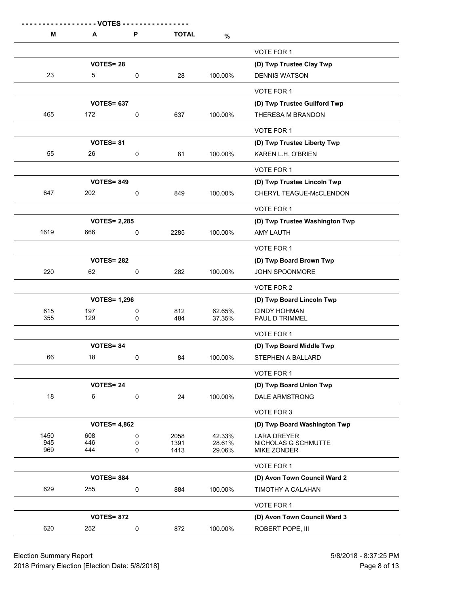| М          | - VOTES<br>A        | P      | <b>TOTAL</b> | $\%$             |                                       |
|------------|---------------------|--------|--------------|------------------|---------------------------------------|
|            |                     |        |              |                  | VOTE FOR 1                            |
|            | <b>VOTES=28</b>     |        |              |                  | (D) Twp Trustee Clay Twp              |
| 23         | 5                   | 0      | 28           | 100.00%          | <b>DENNIS WATSON</b>                  |
|            |                     |        |              |                  | VOTE FOR 1                            |
|            | <b>VOTES= 637</b>   |        |              |                  | (D) Twp Trustee Guilford Twp          |
| 465        | 172                 | 0      | 637          | 100.00%          | THERESA M BRANDON                     |
|            |                     |        |              |                  | VOTE FOR 1                            |
|            | <b>VOTES=81</b>     |        |              |                  | (D) Twp Trustee Liberty Twp           |
| 55         | 26                  | 0      | 81           | 100.00%          | KAREN L.H. O'BRIEN                    |
|            |                     |        |              |                  | VOTE FOR 1                            |
|            | <b>VOTES= 849</b>   |        |              |                  | (D) Twp Trustee Lincoln Twp           |
| 647        | 202                 | 0      | 849          | 100.00%          | CHERYL TEAGUE-McCLENDON               |
|            |                     |        |              |                  | VOTE FOR 1                            |
|            | <b>VOTES= 2,285</b> |        |              |                  | (D) Twp Trustee Washington Twp        |
| 1619       | 666                 | 0      | 2285         | 100.00%          | <b>AMY LAUTH</b>                      |
|            |                     |        |              |                  | VOTE FOR 1                            |
|            | <b>VOTES= 282</b>   |        |              |                  | (D) Twp Board Brown Twp               |
| 220        | 62                  | 0      | 282          | 100.00%          | <b>JOHN SPOONMORE</b>                 |
|            |                     |        |              |                  | VOTE FOR 2                            |
|            | <b>VOTES= 1,296</b> |        |              |                  | (D) Twp Board Lincoln Twp             |
| 615<br>355 | 197<br>129          | 0<br>0 | 812<br>484   | 62.65%<br>37.35% | <b>CINDY HOHMAN</b><br>PAUL D TRIMMEL |
|            |                     |        |              |                  | VOTE FOR 1                            |
|            | <b>VOTES= 84</b>    |        |              |                  | (D) Twp Board Middle Twp              |
| 66         | 18                  | 0      | 84           | 100.00%          | STEPHEN A BALLARD                     |
|            |                     |        |              |                  | VOTE FOR 1                            |
|            | <b>VOTES=24</b>     |        |              |                  | (D) Twp Board Union Twp               |
| 18         | 6                   | 0      | 24           | 100.00%          | <b>DALE ARMSTRONG</b>                 |
|            |                     |        |              |                  | VOTE FOR 3                            |
|            | <b>VOTES= 4,862</b> |        |              |                  | (D) Twp Board Washington Twp          |
| 1450       | 608                 | 0      | 2058         | 42.33%           | <b>LARA DREYER</b>                    |
| 945<br>969 | 446<br>444          | 0<br>0 | 1391<br>1413 | 28.61%<br>29.06% | NICHOLAS G SCHMUTTE<br>MIKE ZONDER    |
|            |                     |        |              |                  | VOTE FOR 1                            |
|            | <b>VOTES= 884</b>   |        |              |                  | (D) Avon Town Council Ward 2          |
| 629        | 255                 | 0      | 884          | 100.00%          | TIMOTHY A CALAHAN                     |
|            |                     |        |              |                  | VOTE FOR 1                            |
|            | <b>VOTES= 872</b>   |        |              |                  | (D) Avon Town Council Ward 3          |
| 620        | 252                 | 0      | 872          | 100.00%          | ROBERT POPE, III                      |

Election Summary Report 61 Australian 1991 12:37:25 PM 2018 Primary Election [Election Date: 5/8/2018] **Page 8 of 13** Page 8 of 13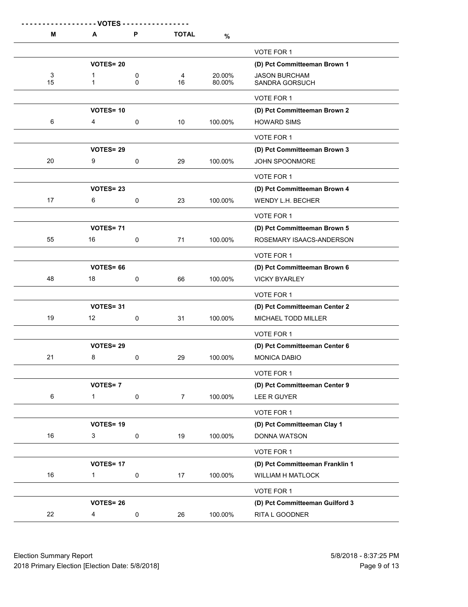| M  | - - - - - - - VOTES - -<br>Α | P         | <b>TOTAL</b>   | %       |                                 |
|----|------------------------------|-----------|----------------|---------|---------------------------------|
|    |                              |           |                |         | VOTE FOR 1                      |
|    | <b>VOTES=20</b>              |           |                |         | (D) Pct Committeeman Brown 1    |
| 3  | 1                            | 0         | 4              | 20.00%  | <b>JASON BURCHAM</b>            |
| 15 | 1                            | 0         | 16             | 80.00%  | SANDRA GORSUCH                  |
|    |                              |           |                |         | <b>VOTE FOR 1</b>               |
|    | <b>VOTES=10</b>              |           |                |         | (D) Pct Committeeman Brown 2    |
| 6  | 4                            | 0         | 10             | 100.00% | <b>HOWARD SIMS</b>              |
|    |                              |           |                |         | VOTE FOR 1                      |
|    | <b>VOTES=29</b>              |           |                |         | (D) Pct Committeeman Brown 3    |
| 20 | 9                            | 0         | 29             | 100.00% | JOHN SPOONMORE                  |
|    |                              |           |                |         | VOTE FOR 1                      |
|    | <b>VOTES=23</b>              |           |                |         | (D) Pct Committeeman Brown 4    |
| 17 | 6                            | 0         | 23             | 100.00% | <b>WENDY L.H. BECHER</b>        |
|    |                              |           |                |         | <b>VOTE FOR 1</b>               |
|    | <b>VOTES=71</b>              |           |                |         | (D) Pct Committeeman Brown 5    |
| 55 | 16                           | 0         | 71             | 100.00% | ROSEMARY ISAACS-ANDERSON        |
|    |                              |           |                |         | VOTE FOR 1                      |
|    | <b>VOTES=66</b>              |           |                |         | (D) Pct Committeeman Brown 6    |
| 48 | 18                           | 0         | 66             | 100.00% | <b>VICKY BYARLEY</b>            |
|    |                              |           |                |         | VOTE FOR 1                      |
|    | <b>VOTES=31</b>              |           |                |         | (D) Pct Committeeman Center 2   |
| 19 | 12                           | 0         | 31             | 100.00% | MICHAEL TODD MILLER             |
|    |                              |           |                |         | VOTE FOR 1                      |
|    | <b>VOTES=29</b>              |           |                |         | (D) Pct Committeeman Center 6   |
| 21 | 8                            | 0         | 29             | 100.00% | MONICA DABIO                    |
|    |                              |           |                |         | VOTE FOR 1                      |
|    | <b>VOTES=7</b>               |           |                |         | (D) Pct Committeeman Center 9   |
| 6  | 1                            | 0         | $\overline{7}$ | 100.00% | LEE R GUYER                     |
|    |                              |           |                |         | VOTE FOR 1                      |
|    | VOTES=19                     |           |                |         | (D) Pct Committeeman Clay 1     |
| 16 | 3                            | 0         | 19             | 100.00% | DONNA WATSON                    |
|    |                              |           |                |         | VOTE FOR 1                      |
|    | <b>VOTES=17</b>              |           |                |         | (D) Pct Committeeman Franklin 1 |
| 16 | 1                            | $\pmb{0}$ | 17             | 100.00% | <b>WILLIAM H MATLOCK</b>        |
|    |                              |           |                |         | VOTE FOR 1                      |
|    | <b>VOTES=26</b>              |           |                |         | (D) Pct Committeeman Guilford 3 |
| 22 | 4                            | 0         | 26             | 100.00% | RITA L GOODNER                  |
|    |                              |           |                |         |                                 |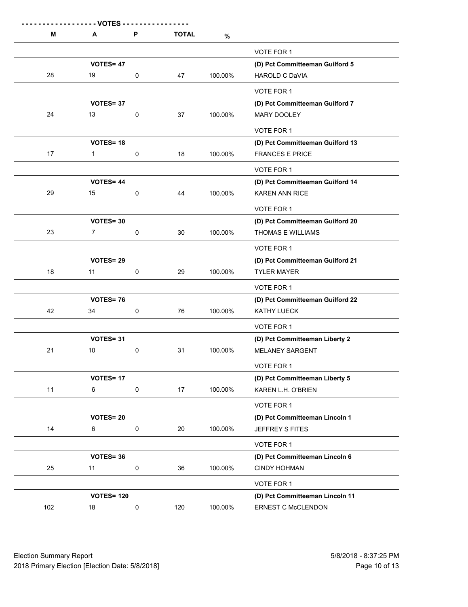| М   | Α                 | P         | <b>TOTAL</b> | $\%$    |                                  |
|-----|-------------------|-----------|--------------|---------|----------------------------------|
|     |                   |           |              |         | VOTE FOR 1                       |
|     | VOTES= 47         |           |              |         | (D) Pct Committeeman Guilford 5  |
| 28  | 19                | 0         | 47           | 100.00% | <b>HAROLD C DaVIA</b>            |
|     |                   |           |              |         | VOTE FOR 1                       |
|     | <b>VOTES=37</b>   |           |              |         | (D) Pct Committeeman Guilford 7  |
| 24  | 13                | 0         | 37           | 100.00% | <b>MARY DOOLEY</b>               |
|     |                   |           |              |         | <b>VOTE FOR 1</b>                |
|     | <b>VOTES=18</b>   |           |              |         | (D) Pct Committeeman Guilford 13 |
| 17  | $\mathbf 1$       | 0         | 18           | 100.00% | <b>FRANCES E PRICE</b>           |
|     |                   |           |              |         | VOTE FOR 1                       |
|     | <b>VOTES=44</b>   |           |              |         | (D) Pct Committeeman Guilford 14 |
| 29  | 15                | 0         | 44           | 100.00% | <b>KAREN ANN RICE</b>            |
|     |                   |           |              |         | VOTE FOR 1                       |
|     | <b>VOTES=30</b>   |           |              |         | (D) Pct Committeeman Guilford 20 |
| 23  | 7                 | 0         | 30           | 100.00% | THOMAS E WILLIAMS                |
|     |                   |           |              |         | VOTE FOR 1                       |
|     | VOTES=29          |           |              |         | (D) Pct Committeeman Guilford 21 |
| 18  | 11                | 0         | 29           | 100.00% | <b>TYLER MAYER</b>               |
|     |                   |           |              |         | VOTE FOR 1                       |
|     | <b>VOTES=76</b>   |           |              |         | (D) Pct Committeeman Guilford 22 |
| 42  | 34                | 0         | 76           | 100.00% | KATHY LUECK                      |
|     |                   |           |              |         | VOTE FOR 1                       |
|     | <b>VOTES=31</b>   |           |              |         | (D) Pct Committeeman Liberty 2   |
| 21  | 10                | 0         | 31           | 100.00% | <b>MELANEY SARGENT</b>           |
|     |                   |           |              |         | VOTE FOR 1                       |
|     | <b>VOTES=17</b>   |           |              |         | (D) Pct Committeeman Liberty 5   |
| 11  | 6                 | $\pmb{0}$ | 17           | 100.00% | KAREN L.H. O'BRIEN               |
|     |                   |           |              |         | VOTE FOR 1                       |
|     | <b>VOTES=20</b>   |           |              |         | (D) Pct Committeeman Lincoln 1   |
| 14  | 6                 | $\pmb{0}$ | 20           | 100.00% | JEFFREY S FITES                  |
|     |                   |           |              |         | VOTE FOR 1                       |
|     | VOTES=36          |           |              |         | (D) Pct Committeeman Lincoln 6   |
| 25  | 11                | $\pmb{0}$ | 36           | 100.00% | <b>CINDY HOHMAN</b>              |
|     |                   |           |              |         | VOTE FOR 1                       |
|     | <b>VOTES= 120</b> |           |              |         | (D) Pct Committeeman Lincoln 11  |
| 102 | 18                | $\pmb{0}$ | 120          | 100.00% | ERNEST C McCLENDON               |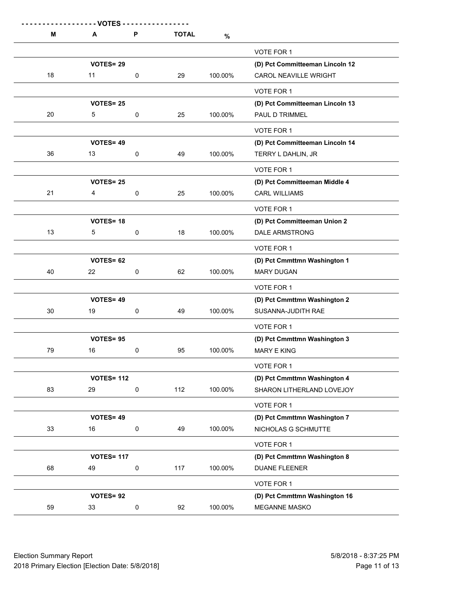| М  | - - VOTES -<br>A  | P         | <b>TOTAL</b> | $\%$    |                                 |
|----|-------------------|-----------|--------------|---------|---------------------------------|
|    |                   |           |              |         | VOTE FOR 1                      |
|    | <b>VOTES=29</b>   |           |              |         | (D) Pct Committeeman Lincoln 12 |
| 18 | 11                | 0         | 29           | 100.00% | CAROL NEAVILLE WRIGHT           |
|    |                   |           |              |         | VOTE FOR 1                      |
|    | <b>VOTES= 25</b>  |           |              |         | (D) Pct Committeeman Lincoln 13 |
| 20 | 5                 | 0         | 25           | 100.00% | PAUL D TRIMMEL                  |
|    |                   |           |              |         | VOTE FOR 1                      |
|    | <b>VOTES=49</b>   |           |              |         | (D) Pct Committeeman Lincoln 14 |
| 36 | 13                | 0         | 49           | 100.00% | TERRY L DAHLIN, JR              |
|    |                   |           |              |         | VOTE FOR 1                      |
|    | <b>VOTES= 25</b>  |           |              |         | (D) Pct Committeeman Middle 4   |
| 21 | 4                 | 0         | 25           | 100.00% | <b>CARL WILLIAMS</b>            |
|    |                   |           |              |         | VOTE FOR 1                      |
|    | <b>VOTES=18</b>   |           |              |         | (D) Pct Committeeman Union 2    |
| 13 | 5                 | 0         | 18           | 100.00% | <b>DALE ARMSTRONG</b>           |
|    |                   |           |              |         | VOTE FOR 1                      |
|    | <b>VOTES= 62</b>  |           |              |         | (D) Pct Cmmttmn Washington 1    |
| 40 | 22                | 0         | 62           | 100.00% | <b>MARY DUGAN</b>               |
|    |                   |           |              |         | VOTE FOR 1                      |
|    | <b>VOTES=49</b>   |           |              |         | (D) Pct Cmmttmn Washington 2    |
| 30 | 19                | 0         | 49           | 100.00% | SUSANNA-JUDITH RAE              |
|    |                   |           |              |         | VOTE FOR 1                      |
|    | <b>VOTES=95</b>   |           |              |         | (D) Pct Cmmttmn Washington 3    |
| 79 | 16                | 0         | 95           | 100.00% | MARY E KING                     |
|    |                   |           |              |         | VOTE FOR 1                      |
|    | <b>VOTES= 112</b> |           |              |         | (D) Pct Cmmttmn Washington 4    |
| 83 | 29                | $\pmb{0}$ | 112          | 100.00% | SHARON LITHERLAND LOVEJOY       |
|    |                   |           |              |         | VOTE FOR 1                      |
|    | VOTES= 49         |           |              |         | (D) Pct Cmmttmn Washington 7    |
| 33 | 16                | $\pmb{0}$ | 49           | 100.00% | NICHOLAS G SCHMUTTE             |
|    |                   |           |              |         | VOTE FOR 1                      |
|    | <b>VOTES= 117</b> |           |              |         | (D) Pct Cmmttmn Washington 8    |
| 68 | 49                | 0         | 117          | 100.00% | <b>DUANE FLEENER</b>            |
|    |                   |           |              |         | VOTE FOR 1                      |
|    | VOTES=92          |           |              |         | (D) Pct Cmmttmn Washington 16   |
| 59 | 33                | $\pmb{0}$ | 92           | 100.00% | MEGANNE MASKO                   |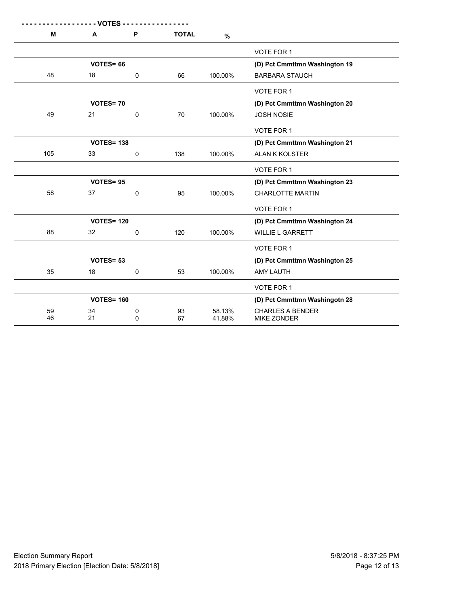| М<br>P<br>$\mathbf{A}$         | <b>TOTAL</b> | $\%$             |                                               |
|--------------------------------|--------------|------------------|-----------------------------------------------|
|                                |              |                  |                                               |
|                                |              |                  | <b>VOTE FOR 1</b>                             |
| <b>VOTES=66</b>                |              |                  | (D) Pct Cmmttmn Washington 19                 |
| 48<br>18<br>0                  | 66           | 100.00%          | <b>BARBARA STAUCH</b>                         |
|                                |              |                  | <b>VOTE FOR 1</b>                             |
| <b>VOTES=70</b>                |              |                  | (D) Pct Cmmttmn Washington 20                 |
| 49<br>21<br>$\mathbf 0$        | 70           | 100.00%          | <b>JOSH NOSIE</b>                             |
|                                |              |                  | <b>VOTE FOR 1</b>                             |
| <b>VOTES= 138</b>              |              |                  | (D) Pct Cmmttmn Washington 21                 |
| 105<br>33<br>0                 | 138          | 100.00%          | ALAN K KOLSTER                                |
|                                |              |                  | <b>VOTE FOR 1</b>                             |
| <b>VOTES=95</b>                |              |                  | (D) Pct Cmmttmn Washington 23                 |
| 58<br>37<br>0                  | 95           | 100.00%          | <b>CHARLOTTE MARTIN</b>                       |
|                                |              |                  | <b>VOTE FOR 1</b>                             |
| <b>VOTES= 120</b>              |              |                  | (D) Pct Cmmttmn Washington 24                 |
| 88<br>32<br>$\mathbf 0$        | 120          | 100.00%          | <b>WILLIE L GARRETT</b>                       |
|                                |              |                  | <b>VOTE FOR 1</b>                             |
| <b>VOTES= 53</b>               |              |                  | (D) Pct Cmmttmn Washington 25                 |
| 35<br>18<br>0                  | 53           | 100.00%          | <b>AMY LAUTH</b>                              |
|                                |              |                  | <b>VOTE FOR 1</b>                             |
| <b>VOTES= 160</b>              |              |                  | (D) Pct Cmmttmn Washingotn 28                 |
| 59<br>34<br>0<br>46<br>21<br>0 | 93<br>67     | 58.13%<br>41.88% | <b>CHARLES A BENDER</b><br><b>MIKE ZONDER</b> |